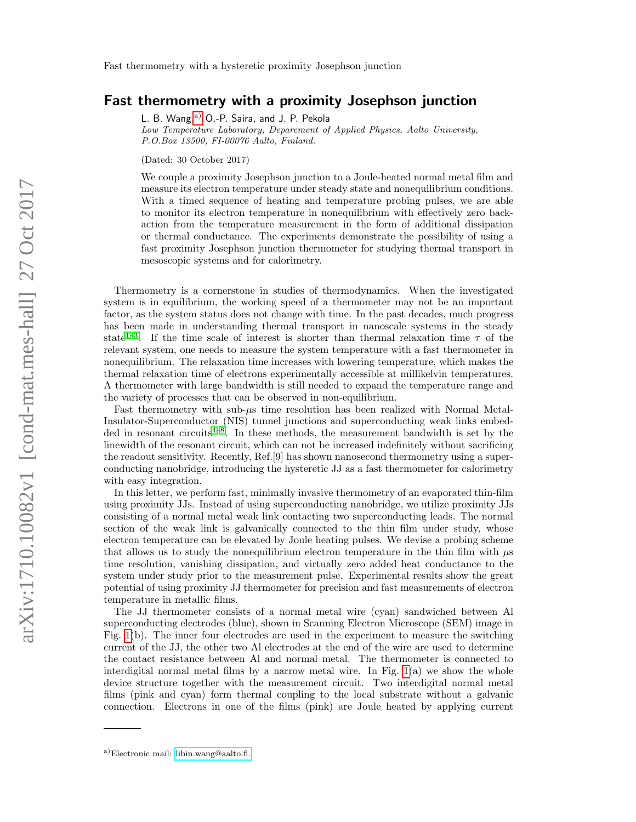## Fast thermometry with a proximity Josephson junction

L. B. Wang,<sup>[a\)](#page-0-0)</sup> O.-P. Saira, and J. P. Pekola

Low Temperature Laboratory, Deparement of Applied Physics, Aalto University, P.O.Box 13500, FI-00076 Aalto, Finland.

(Dated: 30 October 2017)

We couple a proximity Josephson junction to a Joule-heated normal metal film and measure its electron temperature under steady state and nonequilibrium conditions. With a timed sequence of heating and temperature probing pulses, we are able to monitor its electron temperature in nonequilibrium with effectively zero backaction from the temperature measurement in the form of additional dissipation or thermal conductance. The experiments demonstrate the possibility of using a fast proximity Josephson junction thermometer for studying thermal transport in mesoscopic systems and for calorimetry.

Thermometry is a cornerstone in studies of thermodynamics. When the investigated system is in equilibrium, the working speed of a thermometer may not be an important factor, as the system status does not change with time. In the past decades, much progress has been made in understanding thermal transport in nanoscale systems in the steady state<sup>1-[3](#page-6-1)</sup>. If the time scale of interest is shorter than thermal relaxation time  $\tau$  of the relevant system, one needs to measure the system temperature with a fast thermometer in nonequilibrium. The relaxation time increases with lowering temperature, which makes the thermal relaxation time of electrons experimentally accessible at millikelvin temperatures. A thermometer with large bandwidth is still needed to expand the temperature range and the variety of processes that can be observed in non-equilibrium.

Fast thermometry with sub- $\mu$ s time resolution has been realized with Normal Metal-Insulator-Superconductor (NIS) tunnel junctions and superconducting weak links embed-ded in resonant circuits<sup>[4](#page-6-2)[–8](#page-6-3)</sup>. In these methods, the measurement bandwidth is set by the linewidth of the resonant circuit, which can not be increased indefinitely without sacrificing the readout sensitivity. Recently, Ref.[9] has shown nanosecond thermometry using a superconducting nanobridge, introducing the hysteretic JJ as a fast thermometer for calorimetry with easy integration.

In this letter, we perform fast, minimally invasive thermometry of an evaporated thin-film using proximity JJs. Instead of using superconducting nanobridge, we utilize proximity JJs consisting of a normal metal weak link contacting two superconducting leads. The normal section of the weak link is galvanically connected to the thin film under study, whose electron temperature can be elevated by Joule heating pulses. We devise a probing scheme that allows us to study the nonequilibrium electron temperature in the thin film with  $\mu$ s time resolution, vanishing dissipation, and virtually zero added heat conductance to the system under study prior to the measurement pulse. Experimental results show the great potential of using proximity JJ thermometer for precision and fast measurements of electron temperature in metallic films.

The JJ thermometer consists of a normal metal wire (cyan) sandwiched between Al superconducting electrodes (blue), shown in Scanning Electron Microscope (SEM) image in Fig. [1\(](#page-1-0)b). The inner four electrodes are used in the experiment to measure the switching current of the JJ, the other two Al electrodes at the end of the wire are used to determine the contact resistance between Al and normal metal. The thermometer is connected to interdigital normal metal films by a narrow metal wire. In Fig.  $1(a)$  we show the whole device structure together with the measurement circuit. Two interdigital normal metal films (pink and cyan) form thermal coupling to the local substrate without a galvanic connection. Electrons in one of the films (pink) are Joule heated by applying current

<span id="page-0-0"></span>a)Electronic mail: [libin.wang@aalto.fi.](mailto:libin.wang@aalto.fi.)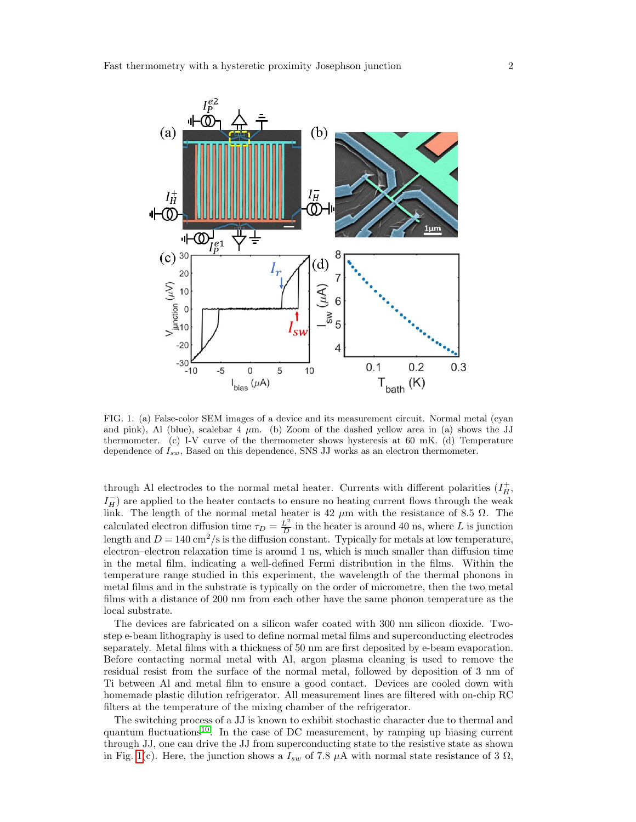

<span id="page-1-0"></span>FIG. 1. (a) False-color SEM images of a device and its measurement circuit. Normal metal (cyan and pink), Al (blue), scalebar 4  $\mu$ m. (b) Zoom of the dashed yellow area in (a) shows the JJ thermometer. (c) I-V curve of the thermometer shows hysteresis at 60 mK. (d) Temperature dependence of  $I_{sw}$ , Based on this dependence, SNS JJ works as an electron thermometer.

through Al electrodes to the normal metal heater. Currents with different polarities  $(I_H^+)$  $I_H^-$ ) are applied to the heater contacts to ensure no heating current flows through the weak link. The length of the normal metal heater is 42  $\mu$ m with the resistance of 8.5  $\Omega$ . The calculated electron diffusion time  $\tau_D = \frac{L^2}{D}$  $\frac{L^2}{D}$  in the heater is around 40 ns, where L is junction length and  $D = 140 \text{ cm}^2/\text{s}$  is the diffusion constant. Typically for metals at low temperature, electron–electron relaxation time is around 1 ns, which is much smaller than diffusion time in the metal film, indicating a well-defined Fermi distribution in the films. Within the temperature range studied in this experiment, the wavelength of the thermal phonons in metal films and in the substrate is typically on the order of micrometre, then the two metal films with a distance of 200 nm from each other have the same phonon temperature as the local substrate.

The devices are fabricated on a silicon wafer coated with 300 nm silicon dioxide. Twostep e-beam lithography is used to define normal metal films and superconducting electrodes separately. Metal films with a thickness of 50 nm are first deposited by e-beam evaporation. Before contacting normal metal with Al, argon plasma cleaning is used to remove the residual resist from the surface of the normal metal, followed by deposition of 3 nm of Ti between Al and metal film to ensure a good contact. Devices are cooled down with homemade plastic dilution refrigerator. All measurement lines are filtered with on-chip RC filters at the temperature of the mixing chamber of the refrigerator.

The switching process of a JJ is known to exhibit stochastic character due to thermal and quantum fluctuations<sup>[10](#page-6-4)</sup>. In the case of DC measurement, by ramping up biasing current through JJ, one can drive the JJ from superconducting state to the resistive state as shown in Fig. [1\(](#page-1-0)c). Here, the junction shows a  $I_{sw}$  of 7.8  $\mu$ A with normal state resistance of 3  $\Omega$ ,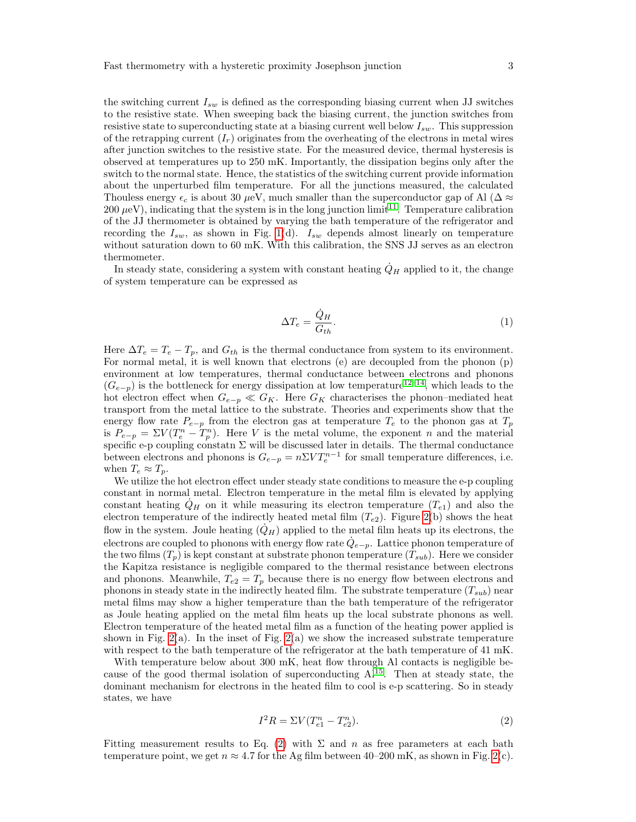the switching current  $I_{sw}$  is defined as the corresponding biasing current when JJ switches to the resistive state. When sweeping back the biasing current, the junction switches from resistive state to superconducting state at a biasing current well below  $I_{sw}$ . This suppression of the retrapping current  $(I_r)$  originates from the overheating of the electrons in metal wires after junction switches to the resistive state. For the measured device, thermal hysteresis is observed at temperatures up to 250 mK. Importantly, the dissipation begins only after the switch to the normal state. Hence, the statistics of the switching current provide information about the unperturbed film temperature. For all the junctions measured, the calculated Thouless energy  $\epsilon_c$  is about 30  $\mu$ eV, much smaller than the superconductor gap of Al ( $\Delta \approx$  $200 \ \mu\text{eV}$ ), indicating that the system is in the long junction limit<sup>[11](#page-6-5)</sup>. Temperature calibration of the JJ thermometer is obtained by varying the bath temperature of the refrigerator and recording the  $I_{sw}$ , as shown in Fig. [1\(](#page-1-0)d).  $I_{sw}$  depends almost linearly on temperature without saturation down to 60 mK. With this calibration, the SNS JJ serves as an electron thermometer.

In steady state, considering a system with constant heating  $\dot{Q}_H$  applied to it, the change of system temperature can be expressed as

$$
\Delta T_e = \frac{\dot{Q}_H}{G_{th}}.\tag{1}
$$

Here  $\Delta T_e = T_e - T_p$ , and  $G_{th}$  is the thermal conductance from system to its environment. For normal metal, it is well known that electrons (e) are decoupled from the phonon (p) environment at low temperatures, thermal conductance between electrons and phonons  $(G_{e-p})$  is the bottleneck for energy dissipation at low temperature<sup>[12–](#page-6-6)[14](#page-6-7)</sup>, which leads to the hot electron effect when  $G_{e-p} \ll G_K$ . Here  $G_K$  characterises the phonon–mediated heat transport from the metal lattice to the substrate. Theories and experiments show that the energy flow rate  $P_{e-p}$  from the electron gas at temperature  $T_e$  to the phonon gas at  $T_p$ is  $P_{e-p} = \Sigma V(T_e^n - T_p^n)$ . Here V is the metal volume, the exponent n and the material specific e-p coupling constatn  $\Sigma$  will be discussed later in details. The thermal conductance between electrons and phonons is  $G_{e-p} = n \Sigma V T_e^{n-1}$  for small temperature differences, i.e. when  $T_e \approx T_p$ .

We utilize the hot electron effect under steady state conditions to measure the e-p coupling constant in normal metal. Electron temperature in the metal film is elevated by applying constant heating  $Q_H$  on it while measuring its electron temperature  $(T_{e1})$  and also the electron temperature of the indirectly heated metal film  $(T_{e2})$ . Figure [2\(](#page-3-0)b) shows the heat flow in the system. Joule heating  $(\dot{Q}_H)$  applied to the metal film heats up its electrons, the electrons are coupled to phonons with energy flow rate  $\dot{Q}_{e-p}$ . Lattice phonon temperature of the two films  $(T_p)$  is kept constant at substrate phonon temperature  $(T_{sub})$ . Here we consider the Kapitza resistance is negligible compared to the thermal resistance between electrons and phonons. Meanwhile,  $T_{e2} = T_p$  because there is no energy flow between electrons and phonons in steady state in the indirectly heated film. The substrate temperature  $(T_{sub})$  near metal films may show a higher temperature than the bath temperature of the refrigerator as Joule heating applied on the metal film heats up the local substrate phonons as well. Electron temperature of the heated metal film as a function of the heating power applied is shown in Fig. [2\(](#page-3-0)a). In the inset of Fig. 2(a) we show the increased substrate temperature with respect to the bath temperature of the refrigerator at the bath temperature of 41 mK.

With temperature below about 300 mK, heat flow through Al contacts is negligible because of the good thermal isolation of superconducting  $Al^{15}$  $Al^{15}$  $Al^{15}$ . Then at steady state, the dominant mechanism for electrons in the heated film to cool is e-p scattering. So in steady states, we have

<span id="page-2-0"></span>
$$
I^{2}R = \Sigma V(T_{e1}^{n} - T_{e2}^{n}).
$$
\n(2)

Fitting measurement results to Eq. [\(2\)](#page-2-0) with  $\Sigma$  and n as free parameters at each bath temperature point, we get  $n \approx 4.7$  for the Ag film between 40–200 mK, as shown in Fig. [2\(](#page-3-0)c).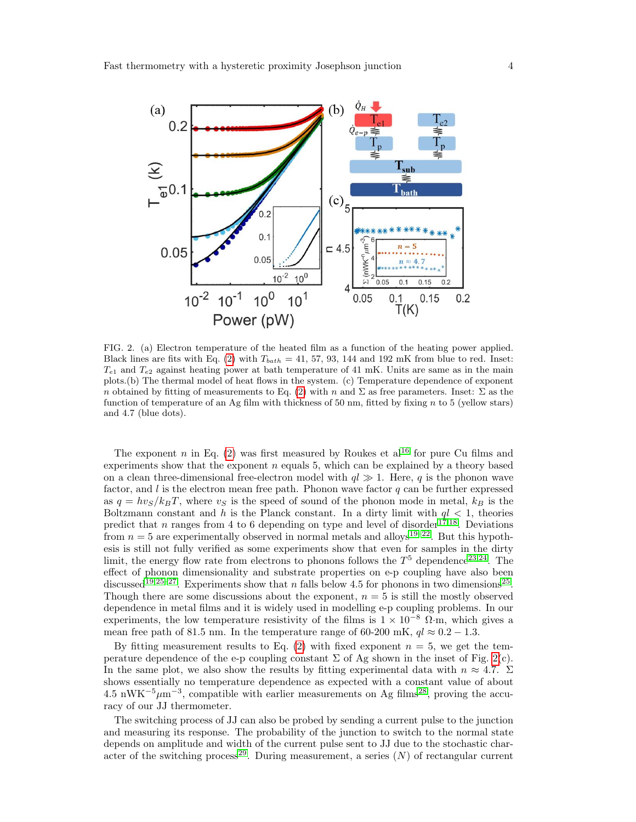

<span id="page-3-0"></span>FIG. 2. (a) Electron temperature of the heated film as a function of the heating power applied. Black lines are fits with Eq. [\(2\)](#page-2-0) with  $T_{bath} = 41, 57, 93, 144$  and 192 mK from blue to red. Inset:  $T_{e1}$  and  $T_{e2}$  against heating power at bath temperature of 41 mK. Units are same as in the main plots.(b) The thermal model of heat flows in the system. (c) Temperature dependence of exponent n obtained by fitting of measurements to Eq. [\(2\)](#page-2-0) with n and  $\Sigma$  as free parameters. Inset:  $\Sigma$  as the function of temperature of an Ag film with thickness of 50 nm, fitted by fixing  $n$  to 5 (yellow stars) and 4.7 (blue dots).

The exponent n in Eq. [\(2\)](#page-2-0) was first measured by Roukes et  $al^{16}$  $al^{16}$  $al^{16}$  for pure Cu films and experiments show that the exponent  $n$  equals 5, which can be explained by a theory based on a clean three-dimensional free-electron model with  $q \geq 1$ . Here, q is the phonon wave factor, and l is the electron mean free path. Phonon wave factor  $q$  can be further expressed as  $q = hv<sub>S</sub>/k_BT$ , where  $v<sub>S</sub>$  is the speed of sound of the phonon mode in metal,  $k_B$  is the Boltzmann constant and h is the Planck constant. In a dirty limit with  $ql < 1$ , theories predict that n ranges from 4 to 6 depending on type and level of disorder<sup>[17](#page-6-10)[,18](#page-6-11)</sup>. Deviations from  $n = 5$  are experimentally observed in normal metals and alloys<sup>[19](#page-6-12)[–22](#page-6-13)</sup>. But this hypothesis is still not fully verified as some experiments show that even for samples in the dirty limit, the energy flow rate from electrons to phonons follows the  $T<sup>5</sup>$  dependence<sup>[23,](#page-6-14)[24](#page-6-15)</sup>. The effect of phonon dimensionality and substrate properties on e-p coupling have also been discussed<sup>[19,](#page-6-12)[25](#page-6-16)[–27](#page-6-17)</sup>. Experiments show that n falls below 4.5 for phonons in two dimensions<sup>25</sup>. Though there are some discussions about the exponent,  $n = 5$  is still the mostly observed dependence in metal films and it is widely used in modelling e-p coupling problems. In our experiments, the low temperature resistivity of the films is  $1 \times 10^{-8}$  Ω·m, which gives a mean free path of 81.5 nm. In the temperature range of 60-200 mK,  $ql \approx 0.2 - 1.3$ .

By fitting measurement results to Eq.  $(2)$  with fixed exponent  $n = 5$ , we get the temperature dependence of the e-p coupling constant  $\Sigma$  of Ag shown in the inset of Fig. [2\(](#page-3-0)c). In the same plot, we also show the results by fitting experimental data with  $n \approx 4.7$ .  $\Sigma$ shows essentially no temperature dependence as expected with a constant value of about  $4.5 \text{ nWK}^{-5} \mu\text{m}^{-3}$ , compatible with earlier measurements on Ag films<sup>[28](#page-6-18)</sup>, proving the accuracy of our JJ thermometer.

The switching process of JJ can also be probed by sending a current pulse to the junction and measuring its response. The probability of the junction to switch to the normal state depends on amplitude and width of the current pulse sent to JJ due to the stochastic char-acter of the switching process<sup>[29](#page-6-19)</sup>. During measurement, a series  $(N)$  of rectangular current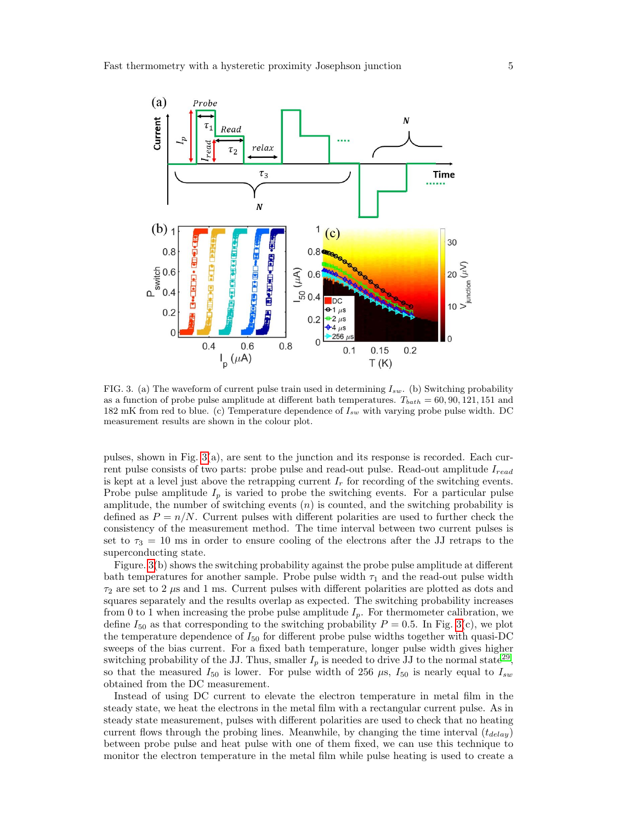

<span id="page-4-0"></span>FIG. 3. (a) The waveform of current pulse train used in determining  $I_{sw}$ . (b) Switching probability as a function of probe pulse amplitude at different bath temperatures.  $T_{bath} = 60, 90, 121, 151$  and 182 mK from red to blue. (c) Temperature dependence of  $I_{sw}$  with varying probe pulse width. DC measurement results are shown in the colour plot.

pulses, shown in Fig.  $3(a)$ , are sent to the junction and its response is recorded. Each current pulse consists of two parts: probe pulse and read-out pulse. Read-out amplitude  $I_{read}$ is kept at a level just above the retrapping current  $I_r$  for recording of the switching events. Probe pulse amplitude  $I_p$  is varied to probe the switching events. For a particular pulse amplitude, the number of switching events  $(n)$  is counted, and the switching probability is defined as  $P = n/N$ . Current pulses with different polarities are used to further check the consistency of the measurement method. The time interval between two current pulses is set to  $\tau_3 = 10$  ms in order to ensure cooling of the electrons after the JJ retraps to the superconducting state.

Figure. [3\(](#page-4-0)b) shows the switching probability against the probe pulse amplitude at different bath temperatures for another sample. Probe pulse width  $\tau_1$  and the read-out pulse width  $\tau_2$  are set to 2  $\mu$ s and 1 ms. Current pulses with different polarities are plotted as dots and squares separately and the results overlap as expected. The switching probability increases from 0 to 1 when increasing the probe pulse amplitude  $I_p$ . For thermometer calibration, we define  $I_{50}$  as that corresponding to the switching probability  $P = 0.5$ . In Fig. [3\(](#page-4-0)c), we plot the temperature dependence of  $I_{50}$  for different probe pulse widths together with quasi-DC sweeps of the bias current. For a fixed bath temperature, longer pulse width gives higher switching probability of the JJ. Thus, smaller  $I_p$  is needed to drive JJ to the normal state<sup>[29](#page-6-19)</sup>, so that the measured  $I_{50}$  is lower. For pulse width of 256  $\mu$ s,  $I_{50}$  is nearly equal to  $I_{sw}$ obtained from the DC measurement.

Instead of using DC current to elevate the electron temperature in metal film in the steady state, we heat the electrons in the metal film with a rectangular current pulse. As in steady state measurement, pulses with different polarities are used to check that no heating current flows through the probing lines. Meanwhile, by changing the time interval  $(t_{delay})$ between probe pulse and heat pulse with one of them fixed, we can use this technique to monitor the electron temperature in the metal film while pulse heating is used to create a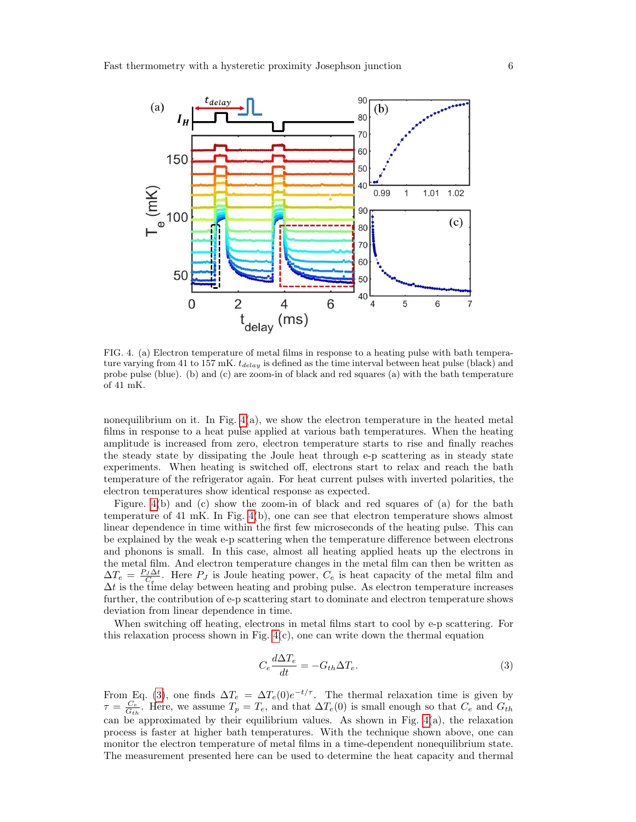

<span id="page-5-0"></span>FIG. 4. (a) Electron temperature of metal films in response to a heating pulse with bath temperature varying from 41 to 157 mK.  $t_{delay}$  is defined as the time interval between heat pulse (black) and probe pulse (blue). (b) and (c) are zoom-in of black and red squares (a) with the bath temperature of 41 mK.

nonequilibrium on it. In Fig.  $4(a)$ , we show the electron temperature in the heated metal films in response to a heat pulse applied at various bath temperatures. When the heating amplitude is increased from zero, electron temperature starts to rise and finally reaches the steady state by dissipating the Joule heat through e-p scattering as in steady state experiments. When heating is switched off, electrons start to relax and reach the bath temperature of the refrigerator again. For heat current pulses with inverted polarities, the electron temperatures show identical response as expected.

Figure. [4\(](#page-5-0)b) and (c) show the zoom-in of black and red squares of (a) for the bath temperature of 41 mK. In Fig. [4\(](#page-5-0)b), one can see that electron temperature shows almost linear dependence in time within the first few microseconds of the heating pulse. This can be explained by the weak e-p scattering when the temperature difference between electrons and phonons is small. In this case, almost all heating applied heats up the electrons in the metal film. And electron temperature changes in the metal film can then be written as  $\Delta T_e = \frac{P_J \Delta t}{C_e}$ . Here  $P_J$  is Joule heating power,  $C_e$  is heat capacity of the metal film and  $\Delta t$  is the time delay between heating and probing pulse. As electron temperature increases further, the contribution of e-p scattering start to dominate and electron temperature shows deviation from linear dependence in time.

When switching off heating, electrons in metal films start to cool by e-p scattering. For this relaxation process shown in Fig.  $4(c)$ , one can write down the thermal equation

<span id="page-5-1"></span>
$$
C_e \frac{d\Delta T_e}{dt} = -G_{th} \Delta T_e. \tag{3}
$$

From Eq. [\(3\)](#page-5-1), one finds  $\Delta T_e = \Delta T_e(0)e^{-t/\tau}$ . The thermal relaxation time is given by  $\tau = \frac{C_e}{G_{th}}$ . Here, we assume  $T_p = T_e$ , and that  $\Delta T_e(0)$  is small enough so that  $C_e$  and  $G_{th}$ can be approximated by their equilibrium values. As shown in Fig.  $4(a)$ , the relaxation process is faster at higher bath temperatures. With the technique shown above, one can monitor the electron temperature of metal films in a time-dependent nonequilibrium state. The measurement presented here can be used to determine the heat capacity and thermal